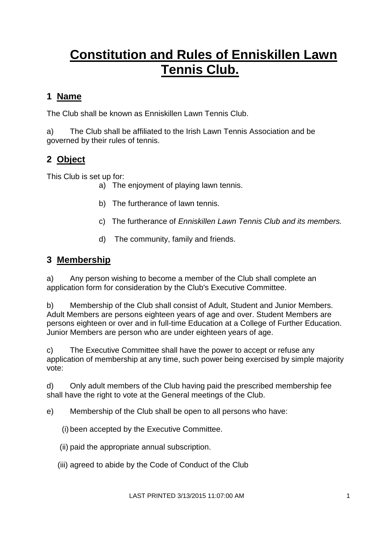# **Constitution and Rules of Enniskillen Lawn Tennis Club.**

## **1 Name**

The Club shall be known as Enniskillen Lawn Tennis Club.

a) The Club shall be affiliated to the Irish Lawn Tennis Association and be governed by their rules of tennis.

# **2 Object**

This Club is set up for:

- a) The enjoyment of playing lawn tennis.
- b) The furtherance of lawn tennis.
- c) The furtherance of *Enniskillen Lawn Tennis Club and its members.*
- d) The community, family and friends.

### **3 Membership**

a) Any person wishing to become a member of the Club shall complete an application form for consideration by the Club's Executive Committee.

b) Membership of the Club shall consist of Adult, Student and Junior Members. Adult Members are persons eighteen years of age and over. Student Members are persons eighteen or over and in full-time Education at a College of Further Education. Junior Members are person who are under eighteen years of age.

c) The Executive Committee shall have the power to accept or refuse any application of membership at any time, such power being exercised by simple majority vote:

d) Only adult members of the Club having paid the prescribed membership fee shall have the right to vote at the General meetings of the Club.

- e) Membership of the Club shall be open to all persons who have:
	- (i) been accepted by the Executive Committee.
	- (ii) paid the appropriate annual subscription.
	- (iii) agreed to abide by the Code of Conduct of the Club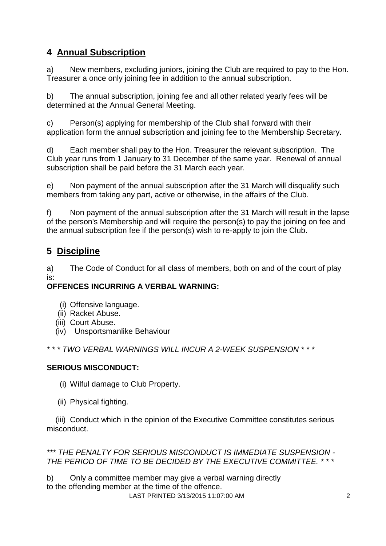# **4 Annual Subscription**

a) New members, excluding juniors, joining the Club are required to pay to the Hon. Treasurer a once only joining fee in addition to the annual subscription.

b) The annual subscription, joining fee and all other related yearly fees will be determined at the Annual General Meeting.

c) Person(s) applying for membership of the Club shall forward with their application form the annual subscription and joining fee to the Membership Secretary.

d) Each member shall pay to the Hon. Treasurer the relevant subscription. The Club year runs from 1 January to 31 December of the same year. Renewal of annual subscription shall be paid before the 31 March each year.

e) Non payment of the annual subscription after the 31 March will disqualify such members from taking any part, active or otherwise, in the affairs of the Club.

f) Non payment of the annual subscription after the 31 March will result in the lapse of the person's Membership and will require the person(s) to pay the joining on fee and the annual subscription fee if the person(s) wish to re-apply to join the Club.

# **5 Discipline**

a) The Code of Conduct for all class of members, both on and of the court of play is:

#### **OFFENCES INCURRING A VERBAL WARNING:**

- (i) Offensive language.
- (ii) Racket Abuse.
- (iii) Court Abuse.
- (iv) Unsportsmanlike Behaviour

*\* \* \* TWO VERBAL WARNINGS WILL INCUR A 2-WEEK SUSPENSION \* \* \**

#### **SERIOUS MISCONDUCT:**

(i) Wilful damage to Club Property.

(ii) Physical fighting.

 (iii) Conduct which in the opinion of the Executive Committee constitutes serious misconduct.

#### *\*\*\* THE PENALTY FOR SERIOUS MISCONDUCT IS IMMEDIATE SUSPENSION - THE PERIOD OF TIME TO BE DECIDED BY THE EXECUTIVE COMMITTEE. \* \* \**

LAST PRINTED 3/13/2015 11:07:00 AM 2 b) Only a committee member may give a verbal warning directly to the offending member at the time of the offence.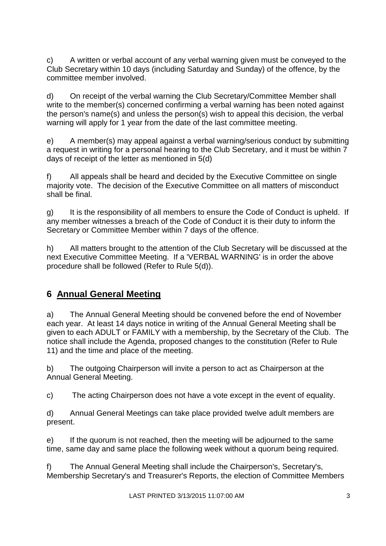c) A written or verbal account of any verbal warning given must be conveyed to the Club Secretary within 10 days (including Saturday and Sunday) of the offence, by the committee member involved.

d) On receipt of the verbal warning the Club Secretary/Committee Member shall write to the member(s) concerned confirming a verbal warning has been noted against the person's name(s) and unless the person(s) wish to appeal this decision, the verbal warning will apply for 1 year from the date of the last committee meeting.

e) A member(s) may appeal against a verbal warning/serious conduct by submitting a request in writing for a personal hearing to the Club Secretary, and it must be within 7 days of receipt of the letter as mentioned in 5(d)

f) All appeals shall be heard and decided by the Executive Committee on single majority vote. The decision of the Executive Committee on all matters of misconduct shall be final.

g) It is the responsibility of all members to ensure the Code of Conduct is upheld. If any member witnesses a breach of the Code of Conduct it is their duty to inform the Secretary or Committee Member within 7 days of the offence.

h) All matters brought to the attention of the Club Secretary will be discussed at the next Executive Committee Meeting. If a 'VERBAL WARNING' is in order the above procedure shall be followed (Refer to Rule 5(d)).

## **6 Annual General Meeting**

a) The Annual General Meeting should be convened before the end of November each year. At least 14 days notice in writing of the Annual General Meeting shall be given to each ADULT or FAMILY with a membership, by the Secretary of the Club. The notice shall include the Agenda, proposed changes to the constitution (Refer to Rule 11) and the time and place of the meeting.

b) The outgoing Chairperson will invite a person to act as Chairperson at the Annual General Meeting.

c) The acting Chairperson does not have a vote except in the event of equality.

d) Annual General Meetings can take place provided twelve adult members are present.

e) If the quorum is not reached, then the meeting will be adjourned to the same time, same day and same place the following week without a quorum being required.

f) The Annual General Meeting shall include the Chairperson's, Secretary's, Membership Secretary's and Treasurer's Reports, the election of Committee Members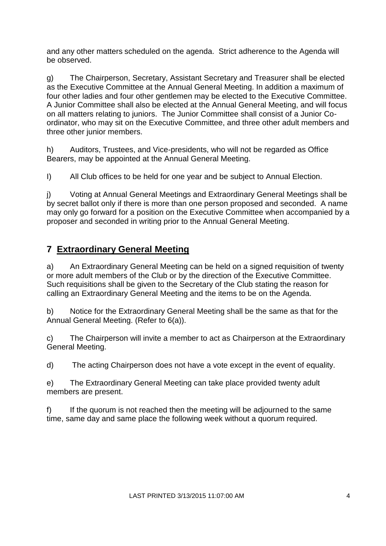and any other matters scheduled on the agenda. Strict adherence to the Agenda will be observed.

g) The Chairperson, Secretary, Assistant Secretary and Treasurer shall be elected as the Executive Committee at the Annual General Meeting. In addition a maximum of four other ladies and four other gentlemen may be elected to the Executive Committee. A Junior Committee shall also be elected at the Annual General Meeting, and will focus on all matters relating to juniors. The Junior Committee shall consist of a Junior Coordinator, who may sit on the Executive Committee, and three other adult members and three other junior members.

h) Auditors, Trustees, and Vice-presidents, who will not be regarded as Office Bearers, may be appointed at the Annual General Meeting.

I) All Club offices to be held for one year and be subject to Annual Election.

j) Voting at Annual General Meetings and Extraordinary General Meetings shall be by secret ballot only if there is more than one person proposed and seconded. A name may only go forward for a position on the Executive Committee when accompanied by a proposer and seconded in writing prior to the Annual General Meeting.

## **7 Extraordinary General Meeting**

a) An Extraordinary General Meeting can be held on a signed requisition of twenty or more adult members of the Club or by the direction of the Executive Committee. Such requisitions shall be given to the Secretary of the Club stating the reason for calling an Extraordinary General Meeting and the items to be on the Agenda.

b) Notice for the Extraordinary General Meeting shall be the same as that for the Annual General Meeting. (Refer to 6(a)).

c) The Chairperson will invite a member to act as Chairperson at the Extraordinary General Meeting.

d) The acting Chairperson does not have a vote except in the event of equality.

e) The Extraordinary General Meeting can take place provided twenty adult members are present.

f) If the quorum is not reached then the meeting will be adjourned to the same time, same day and same place the following week without a quorum required.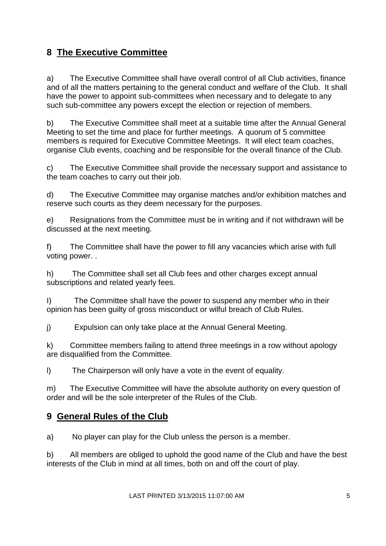# **8 The Executive Committee**

a) The Executive Committee shall have overall control of all Club activities, finance and of all the matters pertaining to the general conduct and welfare of the Club. It shall have the power to appoint sub-committees when necessary and to delegate to any such sub-committee any powers except the election or rejection of members.

b) The Executive Committee shall meet at a suitable time after the Annual General Meeting to set the time and place for further meetings. A quorum of 5 committee members is required for Executive Committee Meetings. It will elect team coaches, organise Club events, coaching and be responsible for the overall finance of the Club.

c) The Executive Committee shall provide the necessary support and assistance to the team coaches to carry out their job.

d) The Executive Committee may organise matches and/or exhibition matches and reserve such courts as they deem necessary for the purposes.

e) Resignations from the Committee must be in writing and if not withdrawn will be discussed at the next meeting.

f) The Committee shall have the power to fill any vacancies which arise with full voting power. .

h) The Committee shall set all Club fees and other charges except annual subscriptions and related yearly fees.

I) The Committee shall have the power to suspend any member who in their opinion has been guilty of gross misconduct or wilful breach of Club Rules.

j) Expulsion can only take place at the Annual General Meeting.

k) Committee members failing to attend three meetings in a row without apology are disqualified from the Committee.

l) The Chairperson will only have a vote in the event of equality.

m) The Executive Committee will have the absolute authority on every question of order and will be the sole interpreter of the Rules of the Club.

#### **9 General Rules of the Club**

a) No player can play for the Club unless the person is a member.

b) All members are obliged to uphold the good name of the Club and have the best interests of the Club in mind at all times, both on and off the court of play.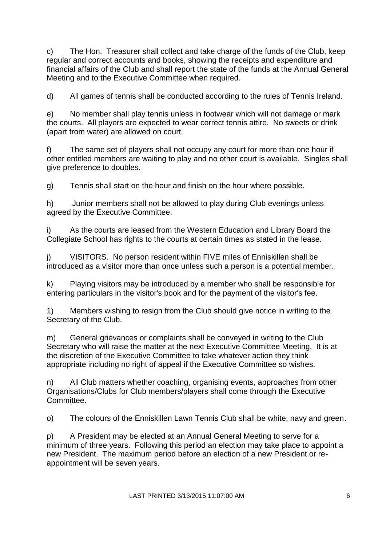c) The Hon. Treasurer shall collect and take charge of the funds of the Club, keep regular and correct accounts and books, showing the receipts and expenditure and financial affairs of the Club and shall report the state of the funds at the Annual General Meeting and to the Executive Committee when required.

d) All games of tennis shall be conducted according to the rules of Tennis Ireland.

e) No member shall play tennis unless in footwear which will not damage or mark the courts. All players are expected to wear correct tennis attire. No sweets or drink (apart from water) are allowed on court.

f) The same set of players shall not occupy any court for more than one hour if other entitled members are waiting to play and no other court is available. Singles shall give preference to doubles.

g) Tennis shall start on the hour and finish on the hour where possible.

h) Junior members shall not be allowed to play during Club evenings unless agreed by the Executive Committee.

i) As the courts are leased from the Western Education and Library Board the Collegiate School has rights to the courts at certain times as stated in the lease.

j) VISITORS. No person resident within FIVE miles of Enniskillen shall be introduced as a visitor more than once unless such a person is a potential member.

k) Playing visitors may be introduced by a member who shall be responsible for entering particulars in the visitor's book and for the payment of the visitor's fee.

1) Members wishing to resign from the Club should give notice in writing to the Secretary of the Club.

m) General grievances or complaints shall be conveyed in writing to the Club Secretary who will raise the matter at the next Executive Committee Meeting. It is at the discretion of the Executive Committee to take whatever action they think appropriate including no right of appeal if the Executive Committee so wishes.

n) All Club matters whether coaching, organising events, approaches from other Organisations/Clubs for Club members/players shall come through the Executive Committee.

o) The colours of the Enniskillen Lawn Tennis Club shall be white, navy and green.

p) A President may be elected at an Annual General Meeting to serve for a minimum of three years. Following this period an election may take place to appoint a new President. The maximum period before an election of a new President or reappointment will be seven years.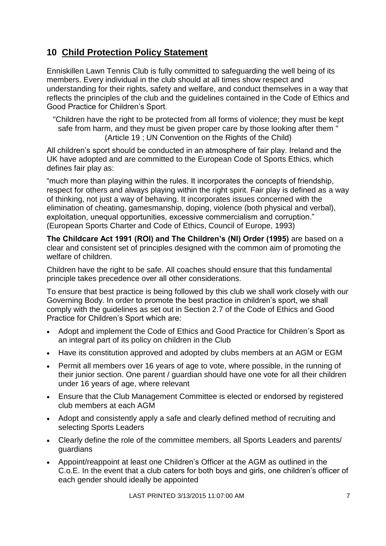## **10 Child Protection Policy Statement**

Enniskillen Lawn Tennis Club is fully committed to safeguarding the well being of its members. Every individual in the club should at all times show respect and understanding for their rights, safety and welfare, and conduct themselves in a way that reflects the principles of the club and the guidelines contained in the Code of Ethics and Good Practice for Children's Sport.

"Children have the right to be protected from all forms of violence; they must be kept safe from harm, and they must be given proper care by those looking after them " (Article 19 ; UN Convention on the Rights of the Child)

All children's sport should be conducted in an atmosphere of fair play. Ireland and the UK have adopted and are committed to the European Code of Sports Ethics, which defines fair play as:

"much more than playing within the rules. It incorporates the concepts of friendship, respect for others and always playing within the right spirit. Fair play is defined as a way of thinking, not just a way of behaving. It incorporates issues concerned with the elimination of cheating, gamesmanship, doping, violence (both physical and verbal), exploitation, unequal opportunities, excessive commercialism and corruption." (European Sports Charter and Code of Ethics, Council of Europe, 1993)

**The Childcare Act 1991 (ROI) and The Children's (NI) Order (1995)** are based on a clear and consistent set of principles designed with the common aim of promoting the welfare of children.

Children have the right to be safe. All coaches should ensure that this fundamental principle takes precedence over all other considerations.

To ensure that best practice is being followed by this club we shall work closely with our Governing Body. In order to promote the best practice in children's sport, we shall comply with the guidelines as set out in Section 2.7 of the Code of Ethics and Good Practice for Children's Sport which are:

- Adopt and implement the Code of Ethics and Good Practice for Children's Sport as an integral part of its policy on children in the Club
- Have its constitution approved and adopted by clubs members at an AGM or EGM
- Permit all members over 16 years of age to vote, where possible, in the running of their junior section. One parent / guardian should have one vote for all their children under 16 years of age, where relevant
- Ensure that the Club Management Committee is elected or endorsed by registered club members at each AGM
- Adopt and consistently apply a safe and clearly defined method of recruiting and selecting Sports Leaders
- Clearly define the role of the committee members, all Sports Leaders and parents/ guardians
- Appoint/reappoint at least one Children's Officer at the AGM as outlined in the C.o.E. In the event that a club caters for both boys and girls, one children's officer of each gender should ideally be appointed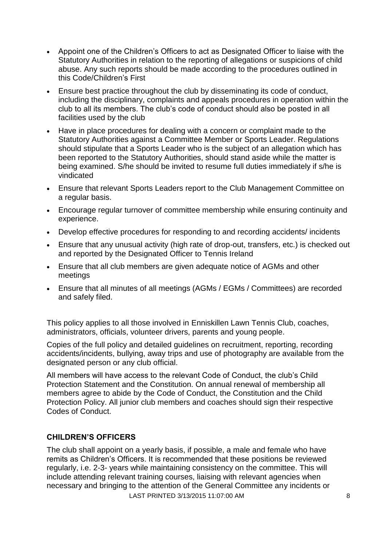- Appoint one of the Children's Officers to act as Designated Officer to liaise with the Statutory Authorities in relation to the reporting of allegations or suspicions of child abuse. Any such reports should be made according to the procedures outlined in this Code/Children's First
- Ensure best practice throughout the club by disseminating its code of conduct, including the disciplinary, complaints and appeals procedures in operation within the club to all its members. The club's code of conduct should also be posted in all facilities used by the club
- Have in place procedures for dealing with a concern or complaint made to the Statutory Authorities against a Committee Member or Sports Leader. Regulations should stipulate that a Sports Leader who is the subject of an allegation which has been reported to the Statutory Authorities, should stand aside while the matter is being examined. S/he should be invited to resume full duties immediately if s/he is vindicated
- Ensure that relevant Sports Leaders report to the Club Management Committee on a regular basis.
- Encourage regular turnover of committee membership while ensuring continuity and experience.
- Develop effective procedures for responding to and recording accidents/ incidents
- Ensure that any unusual activity (high rate of drop-out, transfers, etc.) is checked out and reported by the Designated Officer to Tennis Ireland
- Ensure that all club members are given adequate notice of AGMs and other meetings
- Ensure that all minutes of all meetings (AGMs / EGMs / Committees) are recorded and safely filed.

This policy applies to all those involved in Enniskillen Lawn Tennis Club, coaches, administrators, officials, volunteer drivers, parents and young people.

Copies of the full policy and detailed guidelines on recruitment, reporting, recording accidents/incidents, bullying, away trips and use of photography are available from the designated person or any club official.

All members will have access to the relevant Code of Conduct, the club's Child Protection Statement and the Constitution. On annual renewal of membership all members agree to abide by the Code of Conduct, the Constitution and the Child Protection Policy. All junior club members and coaches should sign their respective Codes of Conduct.

#### **CHILDREN'S OFFICERS**

LAST PRINTED 3/13/2015 11:07:00 AM The club shall appoint on a yearly basis, if possible, a male and female who have remits as Children's Officers. It is recommended that these positions be reviewed regularly, i.e. 2-3- years while maintaining consistency on the committee. This will include attending relevant training courses, liaising with relevant agencies when necessary and bringing to the attention of the General Committee any incidents or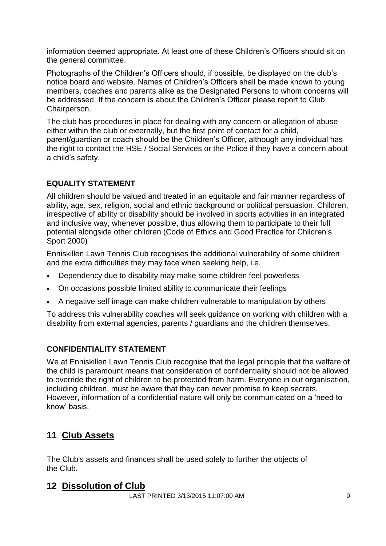information deemed appropriate. At least one of these Children's Officers should sit on the general committee.

Photographs of the Children's Officers should, if possible, be displayed on the club's notice board and website. Names of Children's Officers shall be made known to young members, coaches and parents alike as the Designated Persons to whom concerns will be addressed. If the concern is about the Children's Officer please report to Club Chairperson.

The club has procedures in place for dealing with any concern or allegation of abuse either within the club or externally, but the first point of contact for a child, parent/guardian or coach should be the Children's Officer, although any individual has the right to contact the HSE / Social Services or the Police if they have a concern about a child's safety.

#### **EQUALITY STATEMENT**

All children should be valued and treated in an equitable and fair manner regardless of ability, age, sex, religion, social and ethnic background or political persuasion. Children, irrespective of ability or disability should be involved in sports activities in an integrated and inclusive way, whenever possible, thus allowing them to participate to their full potential alongside other children (Code of Ethics and Good Practice for Children's Sport 2000)

Enniskillen Lawn Tennis Club recognises the additional vulnerability of some children and the extra difficulties they may face when seeking help, i.e.

- Dependency due to disability may make some children feel powerless
- On occasions possible limited ability to communicate their feelings
- A negative self image can make children vulnerable to manipulation by others

To address this vulnerability coaches will seek guidance on working with children with a disability from external agencies, parents / guardians and the children themselves.

#### **CONFIDENTIALITY STATEMENT**

We at Enniskillen Lawn Tennis Club recognise that the legal principle that the welfare of the child is paramount means that consideration of confidentiality should not be allowed to override the right of children to be protected from harm. Everyone in our organisation, including children, must be aware that they can never promise to keep secrets. However, information of a confidential nature will only be communicated on a 'need to know' basis.

## **11 Club Assets**

The Club's assets and finances shall be used solely to further the objects of the Club.

#### **12 Dissolution of Club**

LAST PRINTED 3/13/2015 11:07:00 AM 9